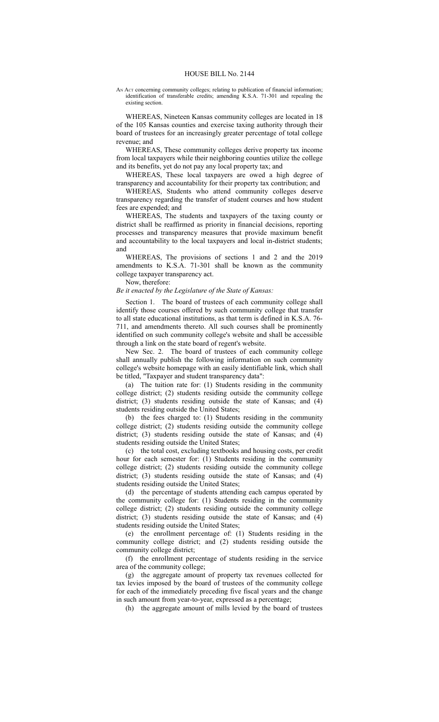AN Act concerning community colleges; relating to publication of financial information; identification of transferable credits; amending K.S.A. 71-301 and repealing the existing section.

WHEREAS, Nineteen Kansas community colleges are located in 18 of the 105 Kansas counties and exercise taxing authority through their board of trustees for an increasingly greater percentage of total college revenue; and

WHEREAS, These community colleges derive property tax income from local taxpayers while their neighboring counties utilize the college and its benefits, yet do not pay any local property tax; and

WHEREAS, These local taxpayers are owed a high degree of transparency and accountability for their property tax contribution; and

WHEREAS, Students who attend community colleges deserve transparency regarding the transfer of student courses and how student fees are expended; and

WHEREAS, The students and taxpayers of the taxing county or district shall be reaffirmed as priority in financial decisions, reporting processes and transparency measures that provide maximum benefit and accountability to the local taxpayers and local in-district students; and

WHEREAS, The provisions of sections 1 and 2 and the 2019 amendments to K.S.A. 71-301 shall be known as the community college taxpayer transparency act.

Now, therefore:

## *Be it enacted by the Legislature of the State of Kansas:*

Section 1. The board of trustees of each community college shall identify those courses offered by such community college that transfer to all state educational institutions, as that term is defined in K.S.A. 76- 711, and amendments thereto. All such courses shall be prominently identified on such community college's website and shall be accessible through a link on the state board of regent's website.

New Sec. 2. The board of trustees of each community college shall annually publish the following information on such community college's website homepage with an easily identifiable link, which shall be titled, "Taxpayer and student transparency data":

(a) The tuition rate for: (1) Students residing in the community college district; (2) students residing outside the community college district; (3) students residing outside the state of Kansas; and (4) students residing outside the United States;

(b) the fees charged to: (1) Students residing in the community college district; (2) students residing outside the community college district; (3) students residing outside the state of Kansas; and (4) students residing outside the United States;

(c) the total cost, excluding textbooks and housing costs, per credit hour for each semester for: (1) Students residing in the community college district; (2) students residing outside the community college district; (3) students residing outside the state of Kansas; and (4) students residing outside the United States;

(d) the percentage of students attending each campus operated by the community college for: (1) Students residing in the community college district; (2) students residing outside the community college district; (3) students residing outside the state of Kansas; and (4) students residing outside the United States;

(e) the enrollment percentage of: (1) Students residing in the community college district; and (2) students residing outside the community college district;

(f) the enrollment percentage of students residing in the service area of the community college;

(g) the aggregate amount of property tax revenues collected for tax levies imposed by the board of trustees of the community college for each of the immediately preceding five fiscal years and the change in such amount from year-to-year, expressed as a percentage;

(h) the aggregate amount of mills levied by the board of trustees